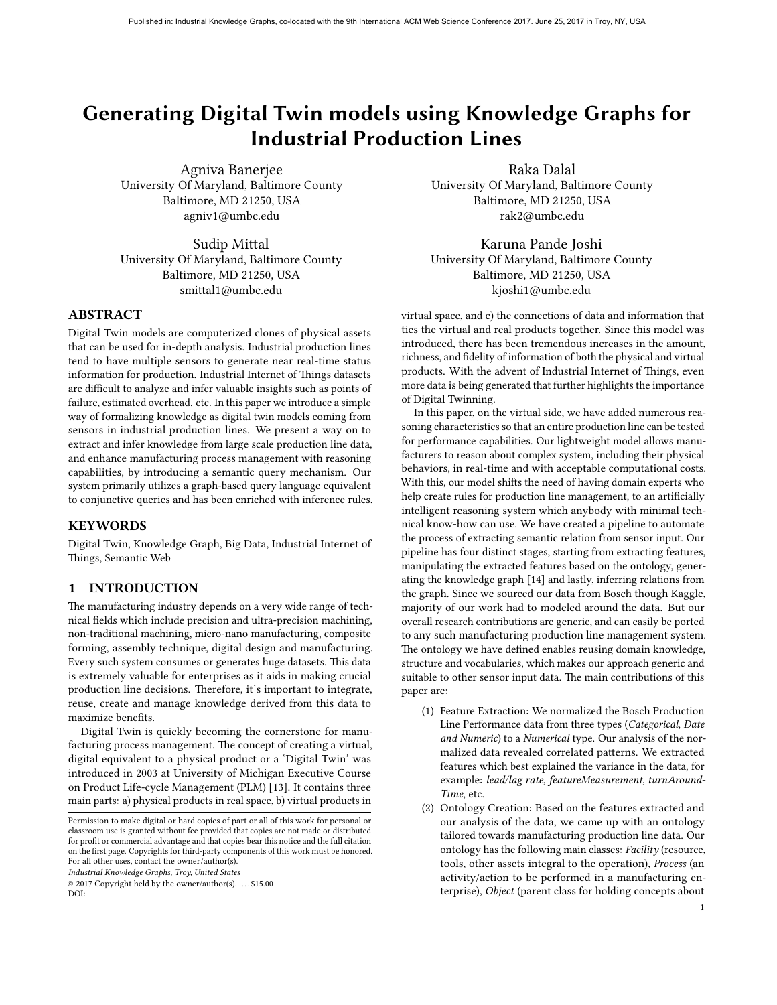# Generating Digital Twin models using Knowledge Graphs for Industrial Production Lines

Agniva Banerjee University Of Maryland, Baltimore County Baltimore, MD 21250, USA agniv1@umbc.edu

Sudip Mittal University Of Maryland, Baltimore County Baltimore, MD 21250, USA smittal1@umbc.edu

# ABSTRACT

Digital Twin models are computerized clones of physical assets that can be used for in-depth analysis. Industrial production lines tend to have multiple sensors to generate near real-time status information for production. Industrial Internet of Things datasets are difficult to analyze and infer valuable insights such as points of failure, estimated overhead. etc. In this paper we introduce a simple way of formalizing knowledge as digital twin models coming from sensors in industrial production lines. We present a way on to extract and infer knowledge from large scale production line data, and enhance manufacturing process management with reasoning capabilities, by introducing a semantic query mechanism. Our system primarily utilizes a graph-based query language equivalent to conjunctive queries and has been enriched with inference rules.

#### **KEYWORDS**

Digital Twin, Knowledge Graph, Big Data, Industrial Internet of Things, Semantic Web

## 1 INTRODUCTION

The manufacturing industry depends on a very wide range of technical fields which include precision and ultra-precision machining, non-traditional machining, micro-nano manufacturing, composite forming, assembly technique, digital design and manufacturing. Every such system consumes or generates huge datasets. This data is extremely valuable for enterprises as it aids in making crucial production line decisions. Therefore, it's important to integrate, reuse, create and manage knowledge derived from this data to maximize benefits.

Digital Twin is quickly becoming the cornerstone for manufacturing process management. The concept of creating a virtual, digital equivalent to a physical product or a 'Digital Twin' was introduced in 2003 at University of Michigan Executive Course on Product Life-cycle Management (PLM) [\[13\]](#page-5-0). It contains three main parts: a) physical products in real space, b) virtual products in

Industrial Knowledge Graphs, Troy, United States

© 2017 Copyright held by the owner/author(s). . . . \$15.00 DOI:

Raka Dalal University Of Maryland, Baltimore County Baltimore, MD 21250, USA rak2@umbc.edu

Karuna Pande Joshi University Of Maryland, Baltimore County Baltimore, MD 21250, USA kjoshi1@umbc.edu

virtual space, and c) the connections of data and information that ties the virtual and real products together. Since this model was introduced, there has been tremendous increases in the amount, richness, and fidelity of information of both the physical and virtual products. With the advent of Industrial Internet of Things, even more data is being generated that further highlights the importance of Digital Twinning.

In this paper, on the virtual side, we have added numerous reasoning characteristics so that an entire production line can be tested for performance capabilities. Our lightweight model allows manufacturers to reason about complex system, including their physical behaviors, in real-time and with acceptable computational costs. With this, our model shifts the need of having domain experts who help create rules for production line management, to an artificially intelligent reasoning system which anybody with minimal technical know-how can use. We have created a pipeline to automate the process of extracting semantic relation from sensor input. Our pipeline has four distinct stages, starting from extracting features, manipulating the extracted features based on the ontology, generating the knowledge graph [\[14\]](#page-5-1) and lastly, inferring relations from the graph. Since we sourced our data from Bosch though Kaggle, majority of our work had to modeled around the data. But our overall research contributions are generic, and can easily be ported to any such manufacturing production line management system. The ontology we have defined enables reusing domain knowledge, structure and vocabularies, which makes our approach generic and suitable to other sensor input data. The main contributions of this paper are:

- (1) Feature Extraction: We normalized the Bosch Production Line Performance data from three types (Categorical, Date and Numeric) to a Numerical type. Our analysis of the normalized data revealed correlated patterns. We extracted features which best explained the variance in the data, for example: lead/lag rate, featureMeasurement, turnAround-Time, etc.
- (2) Ontology Creation: Based on the features extracted and our analysis of the data, we came up with an ontology tailored towards manufacturing production line data. Our ontology has the following main classes: Facility (resource, tools, other assets integral to the operation), Process (an activity/action to be performed in a manufacturing enterprise), Object (parent class for holding concepts about

Permission to make digital or hard copies of part or all of this work for personal or classroom use is granted without fee provided that copies are not made or distributed for profit or commercial advantage and that copies bear this notice and the full citation on the first page. Copyrights for third-party components of this work must be honored. For all other uses, contact the owner/author(s).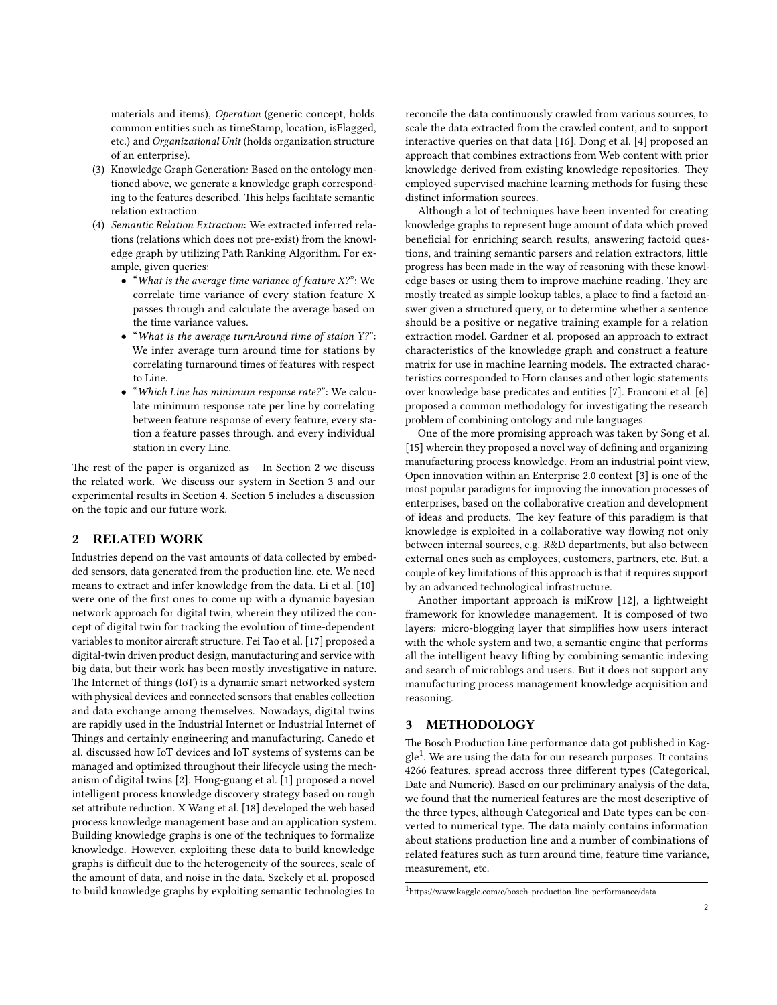materials and items), Operation (generic concept, holds common entities such as timeStamp, location, isFlagged, etc.) and Organizational Unit (holds organization structure of an enterprise).

- (3) Knowledge Graph Generation: Based on the ontology mentioned above, we generate a knowledge graph corresponding to the features described. This helps facilitate semantic relation extraction.
- (4) Semantic Relation Extraction: We extracted inferred relations (relations which does not pre-exist) from the knowledge graph by utilizing Path Ranking Algorithm. For example, given queries:
	- "What is the average time variance of feature X?": We correlate time variance of every station feature X passes through and calculate the average based on the time variance values.
	- "What is the average turnAround time of staion Y?": We infer average turn around time for stations by correlating turnaround times of features with respect to Line.
	- "Which Line has minimum response rate?": We calculate minimum response rate per line by correlating between feature response of every feature, every station a feature passes through, and every individual station in every Line.

The rest of the paper is organized as  $-$  In Section [2](#page-1-0) we discuss the related work. We discuss our system in Section [3](#page-1-1) and our experimental results in Section [4.](#page-4-0) Section [5](#page-5-2) includes a discussion on the topic and our future work.

### <span id="page-1-0"></span>2 RELATED WORK

Industries depend on the vast amounts of data collected by embedded sensors, data generated from the production line, etc. We need means to extract and infer knowledge from the data. Li et al. [\[10\]](#page-5-3) were one of the first ones to come up with a dynamic bayesian network approach for digital twin, wherein they utilized the concept of digital twin for tracking the evolution of time-dependent variables to monitor aircraft structure. Fei Tao et al. [\[17\]](#page-5-4) proposed a digital-twin driven product design, manufacturing and service with big data, but their work has been mostly investigative in nature. The Internet of things (IoT) is a dynamic smart networked system with physical devices and connected sensors that enables collection and data exchange among themselves. Nowadays, digital twins are rapidly used in the Industrial Internet or Industrial Internet of Things and certainly engineering and manufacturing. Canedo et al. discussed how IoT devices and IoT systems of systems can be managed and optimized throughout their lifecycle using the mechanism of digital twins [\[2\]](#page-5-5). Hong-guang et al. [\[1\]](#page-5-6) proposed a novel intelligent process knowledge discovery strategy based on rough set attribute reduction. X Wang et al. [\[18\]](#page-5-7) developed the web based process knowledge management base and an application system. Building knowledge graphs is one of the techniques to formalize knowledge. However, exploiting these data to build knowledge graphs is difficult due to the heterogeneity of the sources, scale of the amount of data, and noise in the data. Szekely et al. proposed to build knowledge graphs by exploiting semantic technologies to

reconcile the data continuously crawled from various sources, to scale the data extracted from the crawled content, and to support interactive queries on that data [\[16\]](#page-5-8). Dong et al. [\[4\]](#page-5-9) proposed an approach that combines extractions from Web content with prior knowledge derived from existing knowledge repositories. They employed supervised machine learning methods for fusing these distinct information sources.

Although a lot of techniques have been invented for creating knowledge graphs to represent huge amount of data which proved beneficial for enriching search results, answering factoid questions, and training semantic parsers and relation extractors, little progress has been made in the way of reasoning with these knowledge bases or using them to improve machine reading. They are mostly treated as simple lookup tables, a place to find a factoid answer given a structured query, or to determine whether a sentence should be a positive or negative training example for a relation extraction model. Gardner et al. proposed an approach to extract characteristics of the knowledge graph and construct a feature matrix for use in machine learning models. The extracted characteristics corresponded to Horn clauses and other logic statements over knowledge base predicates and entities [\[7\]](#page-5-10). Franconi et al. [\[6\]](#page-5-11) proposed a common methodology for investigating the research problem of combining ontology and rule languages.

One of the more promising approach was taken by Song et al. [\[15\]](#page-5-12) wherein they proposed a novel way of defining and organizing manufacturing process knowledge. From an industrial point view, Open innovation within an Enterprise 2.0 context [\[3\]](#page-5-13) is one of the most popular paradigms for improving the innovation processes of enterprises, based on the collaborative creation and development of ideas and products. The key feature of this paradigm is that knowledge is exploited in a collaborative way flowing not only between internal sources, e.g. R&D departments, but also between external ones such as employees, customers, partners, etc. But, a couple of key limitations of this approach is that it requires support by an advanced technological infrastructure.

Another important approach is miKrow [\[12\]](#page-5-14), a lightweight framework for knowledge management. It is composed of two layers: micro-blogging layer that simplifies how users interact with the whole system and two, a semantic engine that performs all the intelligent heavy lifting by combining semantic indexing and search of microblogs and users. But it does not support any manufacturing process management knowledge acquisition and reasoning.

# <span id="page-1-1"></span>3 METHODOLOGY

The Bosch Production Line performance data got published in Kag-gle<sup>[1](#page-1-2)</sup>. We are using the data for our research purposes. It contains 4266 features, spread accross three different types (Categorical, Date and Numeric). Based on our preliminary analysis of the data, we found that the numerical features are the most descriptive of the three types, although Categorical and Date types can be converted to numerical type. The data mainly contains information about stations production line and a number of combinations of related features such as turn around time, feature time variance, measurement, etc.

<span id="page-1-2"></span> $1$ https://www.kaggle.com/c/bosch-production-line-performance/data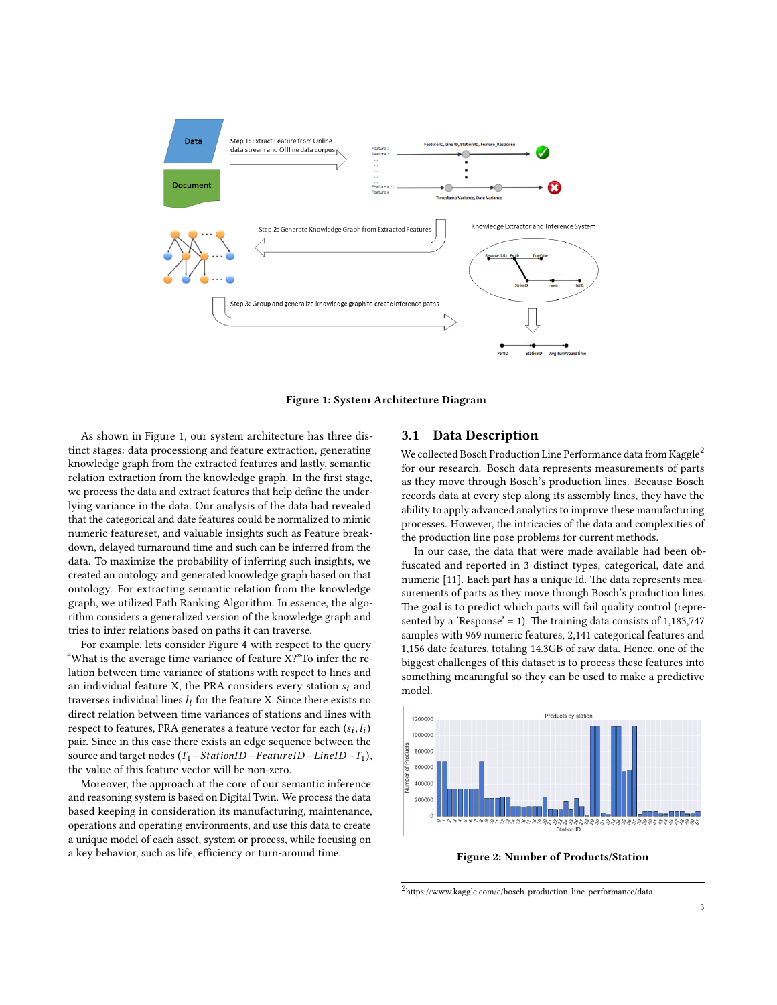

Figure 1: System Architecture Diagram

As shown in Figure 1, our system architecture has three distinct stages: data processiong and feature extraction, generating knowledge graph from the extracted features and lastly, semantic relation extraction from the knowledge graph. In the first stage, we process the data and extract features that help define the underlying variance in the data. Our analysis of the data had revealed that the categorical and date features could be normalized to mimic numeric featureset, and valuable insights such as Feature breakdown, delayed turnaround time and such can be inferred from the data. To maximize the probability of inferring such insights, we created an ontology and generated knowledge graph based on that ontology. For extracting semantic relation from the knowledge graph, we utilized Path Ranking Algorithm. In essence, the algorithm considers a generalized version of the knowledge graph and tries to infer relations based on paths it can traverse.

For example, lets consider Figure 4 with respect to the query "What is the average time variance of feature X?"To infer the relation between time variance of stations with respect to lines and an individual feature X, the PRA considers every station  $s_i$  and traverses individual lines  $l_i$  for the feature X. Since there exists no direct relation between time variances of stations and lines with respect to features, PRA generates a feature vector for each  $(s_i, l_i)$ <br>pair. Since in this case there exists an edge sequence between the pair. Since in this case there exists an edge sequence between the source and target nodes  $(T_1 - StationID - FeatureID - LineID - T_1)$ , the value of this feature vector will be non-zero.

Moreover, the approach at the core of our semantic inference and reasoning system is based on Digital Twin. We process the data based keeping in consideration its manufacturing, maintenance, operations and operating environments, and use this data to create a unique model of each asset, system or process, while focusing on a key behavior, such as life, efficiency or turn-around time.

### 3.1 Data Description

We collected Bosch Production Line Performance data from Kaggle<sup>[2](#page-2-0)</sup> for our research. Bosch data represents measurements of parts as they move through Bosch's production lines. Because Bosch records data at every step along its assembly lines, they have the ability to apply advanced analytics to improve these manufacturing processes. However, the intricacies of the data and complexities of the production line pose problems for current methods.

In our case, the data that were made available had been obfuscated and reported in 3 distinct types, categorical, date and numeric [\[11\]](#page-5-15). Each part has a unique Id. The data represents measurements of parts as they move through Bosch's production lines. The goal is to predict which parts will fail quality control (represented by a 'Response' = 1). The training data consists of  $1,183,747$ samples with 969 numeric features, 2,141 categorical features and 1,156 date features, totaling 14.3GB of raw data. Hence, one of the biggest challenges of this dataset is to process these features into something meaningful so they can be used to make a predictive model.



Figure 2: Number of Products/Station

<span id="page-2-0"></span> $2$ https://www.kaggle.com/c/bosch-production-line-performance/data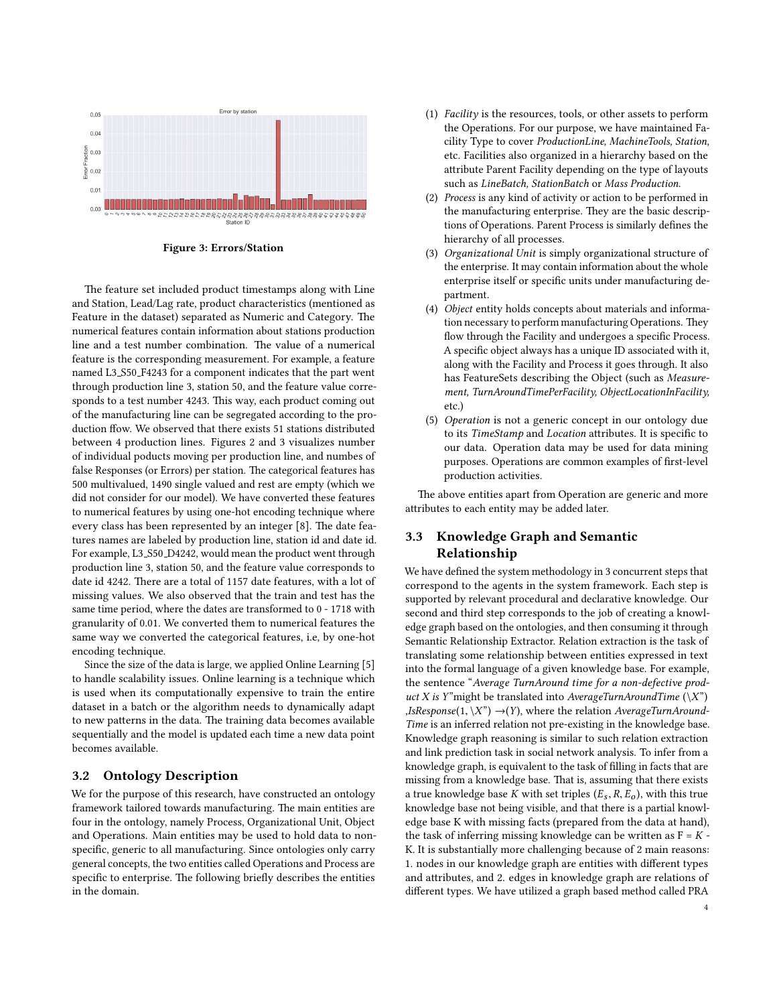

Figure 3: Errors/Station

The feature set included product timestamps along with Line and Station, Lead/Lag rate, product characteristics (mentioned as Feature in the dataset) separated as Numeric and Category. The numerical features contain information about stations production line and a test number combination. The value of a numerical feature is the corresponding measurement. For example, a feature named L3 S50 F4243 for a component indicates that the part went through production line 3, station 50, and the feature value corresponds to a test number 4243. This way, each product coming out of the manufacturing line can be segregated according to the production ffow. We observed that there exists 51 stations distributed between 4 production lines. Figures 2 and 3 visualizes number of individual poducts moving per production line, and numbes of false Responses (or Errors) per station. The categorical features has 500 multivalued, 1490 single valued and rest are empty (which we did not consider for our model). We have converted these features to numerical features by using one-hot encoding technique where every class has been represented by an integer [\[8\]](#page-5-16). The date features names are labeled by production line, station id and date id. For example, L3 S50 D4242, would mean the product went through production line 3, station 50, and the feature value corresponds to date id 4242. There are a total of 1157 date features, with a lot of missing values. We also observed that the train and test has the same time period, where the dates are transformed to 0 - 1718 with granularity of 0.01. We converted them to numerical features the same way we converted the categorical features, i.e, by one-hot encoding technique.

Since the size of the data is large, we applied Online Learning [\[5\]](#page-5-17) to handle scalability issues. Online learning is a technique which is used when its computationally expensive to train the entire dataset in a batch or the algorithm needs to dynamically adapt to new patterns in the data. The training data becomes available sequentially and the model is updated each time a new data point becomes available.

# 3.2 Ontology Description

We for the purpose of this research, have constructed an ontology framework tailored towards manufacturing. The main entities are four in the ontology, namely Process, Organizational Unit, Object and Operations. Main entities may be used to hold data to nonspecific, generic to all manufacturing. Since ontologies only carry general concepts, the two entities called Operations and Process are specific to enterprise. The following briefly describes the entities in the domain.

- (1) Facility is the resources, tools, or other assets to perform the Operations. For our purpose, we have maintained Facility Type to cover ProductionLine, MachineTools, Station, etc. Facilities also organized in a hierarchy based on the attribute Parent Facility depending on the type of layouts such as LineBatch, StationBatch or Mass Production.
- (2) Process is any kind of activity or action to be performed in the manufacturing enterprise. They are the basic descriptions of Operations. Parent Process is similarly defines the hierarchy of all processes.
- (3) Organizational Unit is simply organizational structure of the enterprise. It may contain information about the whole enterprise itself or specific units under manufacturing department.
- (4) Object entity holds concepts about materials and information necessary to perform manufacturing Operations. They flow through the Facility and undergoes a specific Process. A specific object always has a unique ID associated with it, along with the Facility and Process it goes through. It also has FeatureSets describing the Object (such as Measurement, TurnAroundTimePerFacility, ObjectLocationInFacility, etc.)
- (5) Operation is not a generic concept in our ontology due to its TimeStamp and Location attributes. It is specific to our data. Operation data may be used for data mining purposes. Operations are common examples of first-level production activities.

The above entities apart from Operation are generic and more attributes to each entity may be added later.

# 3.3 Knowledge Graph and Semantic Relationship

We have defined the system methodology in 3 concurrent steps that correspond to the agents in the system framework. Each step is supported by relevant procedural and declarative knowledge. Our second and third step corresponds to the job of creating a knowledge graph based on the ontologies, and then consuming it through Semantic Relationship Extractor. Relation extraction is the task of translating some relationship between entities expressed in text into the formal language of a given knowledge base. For example, the sentence "Average TurnAround time for a non-defective product X is Y"might be translated into AverageTurnAroundTime  $(\X)$ ")  $, IsResponse(1, \X") \rightarrow (Y)$ , where the relation AverageTurnAround-Time is an inferred relation not pre-existing in the knowledge base. Knowledge graph reasoning is similar to such relation extraction and link prediction task in social network analysis. To infer from a knowledge graph, is equivalent to the task of filling in facts that are missing from a knowledge base. That is, assuming that there exists a true knowledge base K with set triples  $(E_s, R, E_o)$ , with this true knowledge base not being visible, and that there is a partial knowledge base K with missing facts (prepared from the data at hand), the task of inferring missing knowledge can be written as  $F = K -$ K. It is substantially more challenging because of 2 main reasons: 1. nodes in our knowledge graph are entities with different types and attributes, and 2. edges in knowledge graph are relations of different types. We have utilized a graph based method called PRA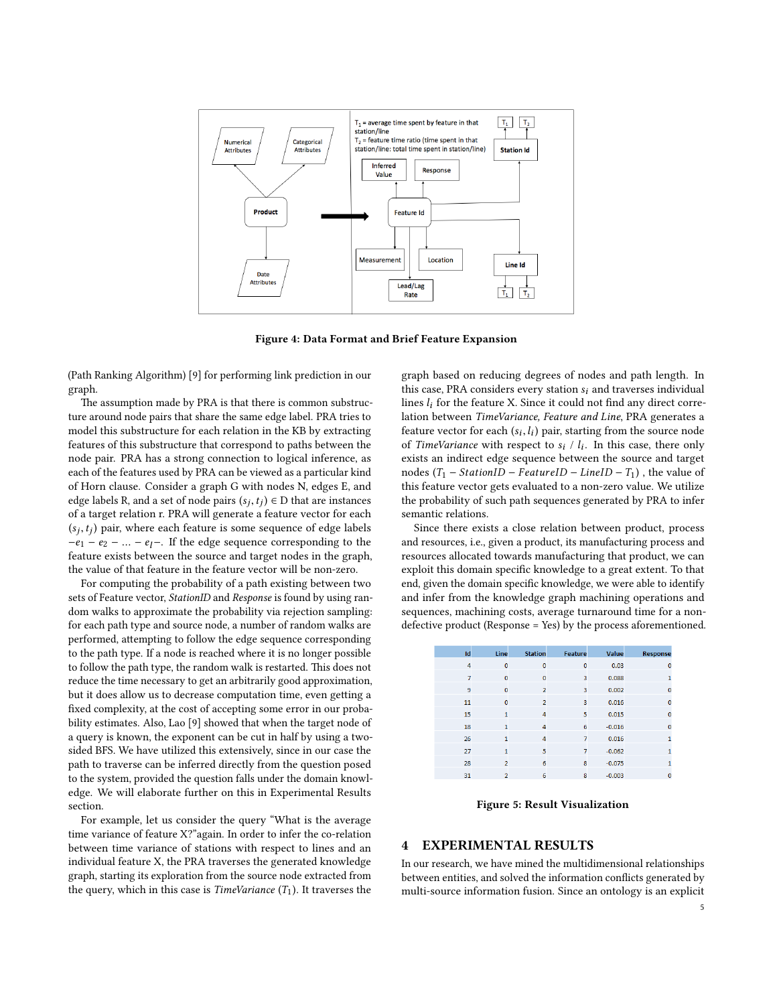

Figure 4: Data Format and Brief Feature Expansion

(Path Ranking Algorithm) [\[9\]](#page-5-18) for performing link prediction in our graph.

The assumption made by PRA is that there is common substructure around node pairs that share the same edge label. PRA tries to model this substructure for each relation in the KB by extracting features of this substructure that correspond to paths between the node pair. PRA has a strong connection to logical inference, as each of the features used by PRA can be viewed as a particular kind of Horn clause. Consider a graph G with nodes N, edges E, and edge labels R, and a set of node pairs  $(s_j, t_j) \in D$  that are instances<br>of a target relation r. PRA will generate a feature vector for each of a target relation r. PRA will generate a feature vector for each  $(s_j, t_j)$  pair, where each feature is some sequence of edge labels<br> $-e_j = e_j = -e_j$ . If the edge sequence corresponding to the  $-e_1 - e_2 - \ldots - e_l$ . If the edge sequence corresponding to the feature exists between the source and target nodes in the graph, the value of that feature in the feature vector will be non-zero.

For computing the probability of a path existing between two sets of Feature vector, StationID and Response is found by using random walks to approximate the probability via rejection sampling: for each path type and source node, a number of random walks are performed, attempting to follow the edge sequence corresponding to the path type. If a node is reached where it is no longer possible to follow the path type, the random walk is restarted. This does not reduce the time necessary to get an arbitrarily good approximation, but it does allow us to decrease computation time, even getting a fixed complexity, at the cost of accepting some error in our probability estimates. Also, Lao [\[9\]](#page-5-18) showed that when the target node of a query is known, the exponent can be cut in half by using a twosided BFS. We have utilized this extensively, since in our case the path to traverse can be inferred directly from the question posed to the system, provided the question falls under the domain knowledge. We will elaborate further on this in Experimental Results section.

For example, let us consider the query "What is the average time variance of feature X?"again. In order to infer the co-relation between time variance of stations with respect to lines and an individual feature X, the PRA traverses the generated knowledge graph, starting its exploration from the source node extracted from the query, which in this case is *TimeVariance*  $(T_1)$ . It traverses the graph based on reducing degrees of nodes and path length. In this case, PRA considers every station  $s_i$  and traverses individual lines  $l_i$  for the feature X. Since it could not find any direct correlation between TimeVariance, Feature and Line, PRA generates a feature vector for each  $(s_i, l_i)$  pair, starting from the source node<br>of *TimeVariance* with respect to  $s_i / l_i$ . In this case, there only of TimeVariance with respect to  $s_i$  /  $l_i$ . In this case, there only exists an indirect edge sequence between the source and target nodes  $(T_1 - StationID - FeatureID - LineID - T_1)$ , the value of this feature vector gets evaluated to a non-zero value. We utilize the probability of such path sequences generated by PRA to infer semantic relations.

Since there exists a close relation between product, process and resources, i.e., given a product, its manufacturing process and resources allocated towards manufacturing that product, we can exploit this domain specific knowledge to a great extent. To that end, given the domain specific knowledge, we were able to identify and infer from the knowledge graph machining operations and sequences, machining costs, average turnaround time for a nondefective product (Response = Yes) by the process aforementioned.

| Id | Line           | <b>Station</b> | Feature        | Value    | Response       |
|----|----------------|----------------|----------------|----------|----------------|
| 4  | $\mathbf{0}$   | $\mathbf{0}$   | $\mathbf{0}$   | 0.03     | $\Omega$       |
| 7  | $\mathbf{0}$   | $\mathbf{0}$   | 3              | 0.088    | 1              |
| 9  | $\mathbf{0}$   | $\overline{2}$ | 3              | 0.002    | $\mathbf 0$    |
| 11 | $\mathbf{0}$   | $\overline{2}$ | 3              | 0.016    | n              |
| 15 | 1              | 4              | 5              | 0.015    | $\bf{0}$       |
| 18 | 1              | 4              | 6              | $-0.016$ | $\overline{0}$ |
| 26 | 1              | 4              | 7              | 0.016    | 1              |
| 27 | $\mathbf{1}$   | 5              | $\overline{7}$ | $-0.062$ | 1              |
| 28 | $\overline{a}$ | 6              | 8              | $-0.075$ | 1              |
| 31 | $\overline{a}$ | 6              | 8              | $-0.003$ | 0              |

Figure 5: Result Visualization

## <span id="page-4-0"></span>4 EXPERIMENTAL RESULTS

In our research, we have mined the multidimensional relationships between entities, and solved the information conflicts generated by multi-source information fusion. Since an ontology is an explicit